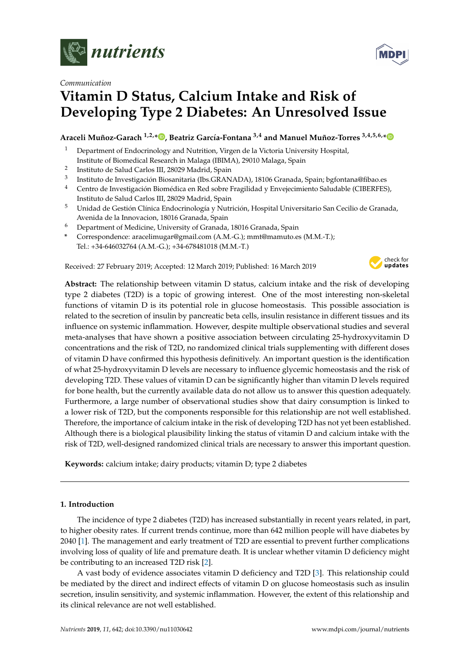

## *Communication*

# **Vitamin D Status, Calcium Intake and Risk of Developing Type 2 Diabetes: An Unresolved Issue**

**Araceli Muñoz-Garach 1,2,[\\*](https://orcid.org/0000-0002-1867-1158) , Beatriz García-Fontana 3,4 and Manuel Muñoz-Torres 3,4,5,6,[\\*](https://orcid.org/0000-0002-9645-3260)**

- <sup>1</sup> Department of Endocrinology and Nutrition, Virgen de la Victoria University Hospital, Institute of Biomedical Research in Malaga (IBIMA), 29010 Malaga, Spain
- 2 Instituto de Salud Carlos III, 28029 Madrid, Spain
- 3 Instituto de Investigación Biosanitaria (Ibs.GRANADA), 18106 Granada, Spain; bgfontana@fibao.es
- <sup>4</sup> Centro de Investigación Biomédica en Red sobre Fragilidad y Envejecimiento Saludable (CIBERFES), Instituto de Salud Carlos III, 28029 Madrid, Spain
- <sup>5</sup> Unidad de Gestión Clínica Endocrinología y Nutrición, Hospital Universitario San Cecilio de Granada, Avenida de la Innovacion, 18016 Granada, Spain
- <sup>6</sup> Department of Medicine, University of Granada, 18016 Granada, Spain
- **\*** Correspondence: aracelimugar@gmail.com (A.M.-G.); mmt@mamuto.es (M.M.-T.); Tel.: +34-646032764 (A.M.-G.); +34-678481018 (M.M.-T.)

Received: 27 February 2019; Accepted: 12 March 2019; Published: 16 March 2019



**Abstract:** The relationship between vitamin D status, calcium intake and the risk of developing type 2 diabetes (T2D) is a topic of growing interest. One of the most interesting non-skeletal functions of vitamin D is its potential role in glucose homeostasis. This possible association is related to the secretion of insulin by pancreatic beta cells, insulin resistance in different tissues and its influence on systemic inflammation. However, despite multiple observational studies and several meta-analyses that have shown a positive association between circulating 25-hydroxyvitamin D concentrations and the risk of T2D, no randomized clinical trials supplementing with different doses of vitamin D have confirmed this hypothesis definitively. An important question is the identification of what 25-hydroxyvitamin D levels are necessary to influence glycemic homeostasis and the risk of developing T2D. These values of vitamin D can be significantly higher than vitamin D levels required for bone health, but the currently available data do not allow us to answer this question adequately. Furthermore, a large number of observational studies show that dairy consumption is linked to a lower risk of T2D, but the components responsible for this relationship are not well established. Therefore, the importance of calcium intake in the risk of developing T2D has not yet been established. Although there is a biological plausibility linking the status of vitamin D and calcium intake with the risk of T2D, well-designed randomized clinical trials are necessary to answer this important question.

**Keywords:** calcium intake; dairy products; vitamin D; type 2 diabetes

## **1. Introduction**

The incidence of type 2 diabetes (T2D) has increased substantially in recent years related, in part, to higher obesity rates. If current trends continue, more than 642 million people will have diabetes by 2040 [\[1\]](#page-11-0). The management and early treatment of T2D are essential to prevent further complications involving loss of quality of life and premature death. It is unclear whether vitamin D deficiency might be contributing to an increased T2D risk [\[2\]](#page-11-1).

A vast body of evidence associates vitamin D deficiency and T2D [\[3\]](#page-11-2). This relationship could be mediated by the direct and indirect effects of vitamin D on glucose homeostasis such as insulin secretion, insulin sensitivity, and systemic inflammation. However, the extent of this relationship and its clinical relevance are not well established.

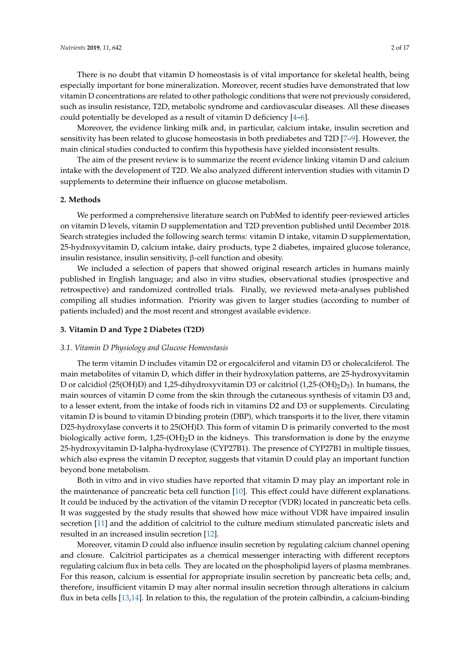There is no doubt that vitamin D homeostasis is of vital importance for skeletal health, being especially important for bone mineralization. Moreover, recent studies have demonstrated that low vitamin D concentrations are related to other pathologic conditions that were not previously considered, such as insulin resistance, T2D, metabolic syndrome and cardiovascular diseases. All these diseases could potentially be developed as a result of vitamin D deficiency [\[4](#page-11-3)[–6\]](#page-11-4).

Moreover, the evidence linking milk and, in particular, calcium intake, insulin secretion and sensitivity has been related to glucose homeostasis in both prediabetes and T2D [\[7](#page-11-5)[–9\]](#page-11-6). However, the main clinical studies conducted to confirm this hypothesis have yielded inconsistent results.

The aim of the present review is to summarize the recent evidence linking vitamin D and calcium intake with the development of T2D. We also analyzed different intervention studies with vitamin D supplements to determine their influence on glucose metabolism.

#### **2. Methods**

We performed a comprehensive literature search on PubMed to identify peer-reviewed articles on vitamin D levels, vitamin D supplementation and T2D prevention published until December 2018. Search strategies included the following search terms: vitamin D intake, vitamin D supplementation, 25-hydroxyvitamin D, calcium intake, dairy products, type 2 diabetes, impaired glucose tolerance, insulin resistance, insulin sensitivity, β-cell function and obesity.

We included a selection of papers that showed original research articles in humans mainly published in English language; and also in vitro studies, observational studies (prospective and retrospective) and randomized controlled trials. Finally, we reviewed meta-analyses published compiling all studies information. Priority was given to larger studies (according to number of patients included) and the most recent and strongest available evidence.

#### **3. Vitamin D and Type 2 Diabetes (T2D)**

#### *3.1. Vitamin D Physiology and Glucose Homeostasis*

The term vitamin D includes vitamin D2 or ergocalciferol and vitamin D3 or cholecalciferol. The main metabolites of vitamin D, which differ in their hydroxylation patterns, are 25-hydroxyvitamin D or calcidiol (25(OH)D) and 1,25-dihydroxyvitamin D3 or calcitriol (1,25-(OH) $_2$ D<sub>3</sub>). In humans, the main sources of vitamin D come from the skin through the cutaneous synthesis of vitamin D3 and, to a lesser extent, from the intake of foods rich in vitamins D2 and D3 or supplements. Circulating vitamin D is bound to vitamin D binding protein (DBP), which transports it to the liver, there vitamin D25-hydroxylase converts it to 25(OH)D. This form of vitamin D is primarily converted to the most biologically active form,  $1,25-(OH)<sub>2</sub>D$  in the kidneys. This transformation is done by the enzyme 25-hydroxyvitamin D-1alpha-hydroxylase (CYP27B1). The presence of CYP27B1 in multiple tissues, which also express the vitamin D receptor, suggests that vitamin D could play an important function beyond bone metabolism.

Both in vitro and in vivo studies have reported that vitamin D may play an important role in the maintenance of pancreatic beta cell function [\[10\]](#page-11-7). This effect could have different explanations. It could be induced by the activation of the vitamin D receptor (VDR) located in pancreatic beta cells. It was suggested by the study results that showed how mice without VDR have impaired insulin secretion [\[11\]](#page-11-8) and the addition of calcitriol to the culture medium stimulated pancreatic islets and resulted in an increased insulin secretion [\[12\]](#page-11-9).

Moreover, vitamin D could also influence insulin secretion by regulating calcium channel opening and closure. Calcitriol participates as a chemical messenger interacting with different receptors regulating calcium flux in beta cells. They are located on the phospholipid layers of plasma membranes. For this reason, calcium is essential for appropriate insulin secretion by pancreatic beta cells; and, therefore, insufficient vitamin D may alter normal insulin secretion through alterations in calcium flux in beta cells [\[13,](#page-11-10)[14\]](#page-12-0). In relation to this, the regulation of the protein calbindin, a calcium-binding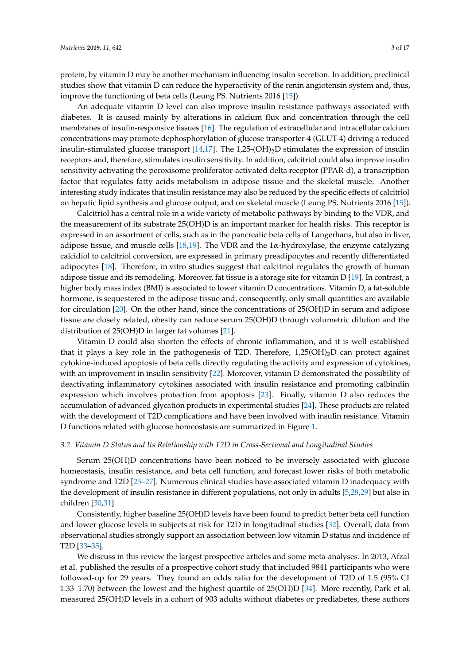protein, by vitamin D may be another mechanism influencing insulin secretion. In addition, preclinical studies show that vitamin D can reduce the hyperactivity of the renin angiotensin system and, thus, improve the functioning of beta cells (Leung PS. Nutrients 2016 [\[15\]](#page-12-1)).

An adequate vitamin D level can also improve insulin resistance pathways associated with diabetes. It is caused mainly by alterations in calcium flux and concentration through the cell membranes of insulin-responsive tissues [\[16\]](#page-12-2). The regulation of extracellular and intracellular calcium concentrations may promote dephosphorylation of glucose transporter-4 (GLUT-4) driving a reduced insulin-stimulated glucose transport [\[14](#page-12-0)[,17\]](#page-12-3). The 1,25-(OH)<sub>2</sub>D stimulates the expression of insulin receptors and, therefore, stimulates insulin sensitivity. In addition, calcitriol could also improve insulin sensitivity activating the peroxisome proliferator-activated delta receptor (PPAR-d), a transcription factor that regulates fatty acids metabolism in adipose tissue and the skeletal muscle. Another interesting study indicates that insulin resistance may also be reduced by the specific effects of calcitriol on hepatic lipid synthesis and glucose output, and on skeletal muscle (Leung PS. Nutrients 2016 [\[15\]](#page-12-1)).

Calcitriol has a central role in a wide variety of metabolic pathways by binding to the VDR, and the measurement of its substrate 25(OH)D is an important marker for health risks. This receptor is expressed in an assortment of cells, such as in the pancreatic beta cells of Langerhans, but also in liver, adipose tissue, and muscle cells [\[18,](#page-12-4)[19\]](#page-12-5). The VDR and the  $1\alpha$ -hydroxylase, the enzyme catalyzing calcidiol to calcitriol conversion, are expressed in primary preadipocytes and recently differentiated adipocytes [\[18\]](#page-12-4). Therefore, in vitro studies suggest that calcitriol regulates the growth of human adipose tissue and its remodeling. Moreover, fat tissue is a storage site for vitamin D [\[19\]](#page-12-5). In contrast, a higher body mass index (BMI) is associated to lower vitamin D concentrations. Vitamin D, a fat-soluble hormone, is sequestered in the adipose tissue and, consequently, only small quantities are available for circulation [\[20\]](#page-12-6). On the other hand, since the concentrations of 25(OH)D in serum and adipose tissue are closely related, obesity can reduce serum 25(OH)D through volumetric dilution and the distribution of 25(OH)D in larger fat volumes [\[21\]](#page-12-7).

Vitamin D could also shorten the effects of chronic inflammation, and it is well established that it plays a key role in the pathogenesis of T2D. Therefore,  $1,25(OH)_2D$  can protect against cytokine-induced apoptosis of beta cells directly regulating the activity and expression of cytokines, with an improvement in insulin sensitivity [\[22\]](#page-12-8). Moreover, vitamin D demonstrated the possibility of deactivating inflammatory cytokines associated with insulin resistance and promoting calbindin expression which involves protection from apoptosis [\[23\]](#page-12-9). Finally, vitamin D also reduces the accumulation of advanced glycation products in experimental studies [\[24\]](#page-12-10). These products are related with the development of T2D complications and have been involved with insulin resistance. Vitamin D functions related with glucose homeostasis are summarized in Figure [1.](#page-3-0)

#### *3.2. Vitamin D Status and Its Relationship with T2D in Cross-Sectional and Longitudinal Studies*

Serum 25(OH)D concentrations have been noticed to be inversely associated with glucose homeostasis, insulin resistance, and beta cell function, and forecast lower risks of both metabolic syndrome and T2D [\[25](#page-12-11)[–27\]](#page-12-12). Numerous clinical studies have associated vitamin D inadequacy with the development of insulin resistance in different populations, not only in adults [\[5](#page-11-11)[,28](#page-12-13)[,29\]](#page-12-14) but also in children [\[30,](#page-12-15)[31\]](#page-12-16).

Consistently, higher baseline 25(OH)D levels have been found to predict better beta cell function and lower glucose levels in subjects at risk for T2D in longitudinal studies [\[32\]](#page-12-17). Overall, data from observational studies strongly support an association between low vitamin D status and incidence of T2D [\[33–](#page-12-18)[35\]](#page-13-0).

We discuss in this review the largest prospective articles and some meta-analyses. In 2013, Afzal et al. published the results of a prospective cohort study that included 9841 participants who were followed-up for 29 years. They found an odds ratio for the development of T2D of 1.5 (95% CI 1.33–1.70) between the lowest and the highest quartile of 25(OH)D [\[34\]](#page-13-1). More recently, Park et al. measured 25(OH)D levels in a cohort of 903 adults without diabetes or prediabetes, these authors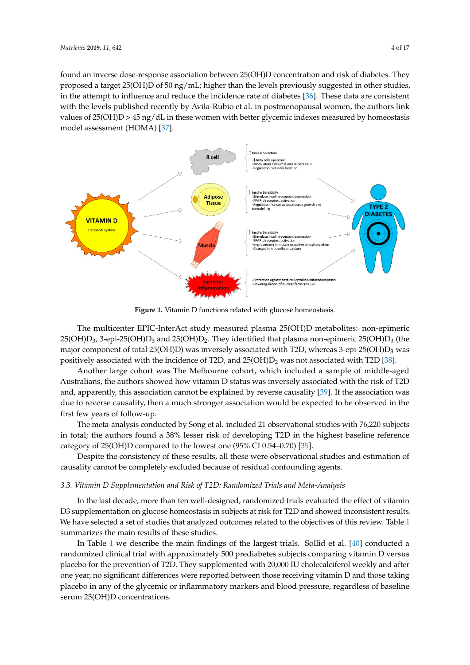found an inverse dose-response association between 25(OH)D concentration and risk of diabetes. They proposed a target 25(OH)D of 50 ng/mL; higher than the levels previously suggested in other studies, in the attempt to influence and reduce the incidence rate of diabetes [\[36\]](#page-13-2). These data are consistent with the levels published recently by Avila-Rubio et al. in postmenopausal women, the authors link values of  $25(OH)D > 45$  ng/dL in these women with better glycemic indexes measured by homeostasis model assessment (HOMA) [\[37\]](#page-13-3).

<span id="page-3-0"></span>

Figure 1. Vitamin D functions related with glucose homeostasis.

The multicenter EPIC-InterAct study measured plasma 25(OH)D metabolites: non-epimeric  $25(OH)D_3$ , 3-epi-25(OH)D<sub>3</sub> and 25(OH)D<sub>2</sub>. They identified that plasma non-epimeric 25(OH)D<sub>3</sub> (the major component of total 25(OH)D) was inversely associated with T2D, whereas 3-epi-25(OH)D<sub>3</sub> was positively associated with the incidence of T2D, and  $25(OH)D<sub>2</sub>$  was not associated with T2D [\[38\]](#page-13-4).

Another large cohort was The Melbourne cohort, which included a sample of middle-aged Australians, the authors showed how vitamin D status was inversely associated with the risk of T2D and, apparently, this association cannot be explained by reverse causality [\[39\]](#page-13-5). If the association was due to reverse causality, then a much stronger association would be expected to be observed in the first few years of follow-up.

The meta-analysis conducted by Song et al. included 21 observational studies with 76,220 subjects in total; the authors found a 38% lesser risk of developing T2D in the highest baseline reference category of 25(OH)D compared to the lowest one (95% CI 0.54–0.70) [\[35\]](#page-13-0).

Despite the consistency of these results, all these were observational studies and estimation of causality cannot be completely excluded because of residual confounding agents.

#### *3.3. Vitamin D Supplementation and Risk of T2D: Randomized Trials and Meta-Analysis*

In the last decade, more than ten well-designed, randomized trials evaluated the effect of vitamin D3 supplementation on glucose homeostasis in subjects at risk for T2D and showed inconsistent results. We have selected a set of studies that analyzed outcomes related to the objectives of this review. Table [1](#page-5-0) summarizes the main results of these studies.

In Table [1](#page-5-0) we describe the main findings of the largest trials. Sollid et al. [\[40\]](#page-13-6) conducted a randomized clinical trial with approximately 500 prediabetes subjects comparing vitamin D versus placebo for the prevention of T2D. They supplemented with 20,000 IU cholecalciferol weekly and after one year, no significant differences were reported between those receiving vitamin D and those taking placebo in any of the glycemic or inflammatory markers and blood pressure, regardless of baseline serum 25(OH)D concentrations.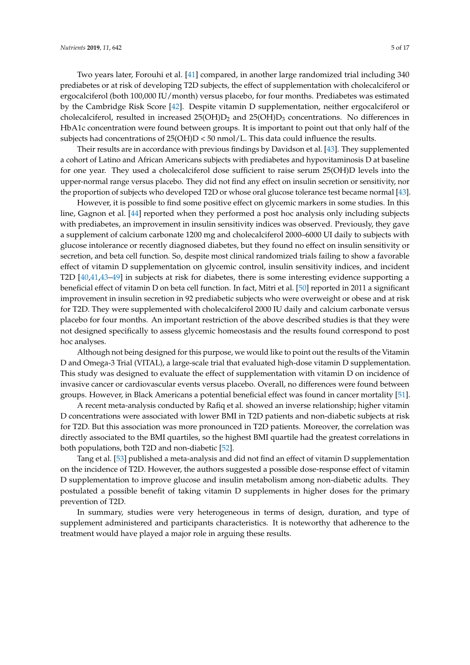Two years later, Forouhi et al. [\[41\]](#page-13-7) compared, in another large randomized trial including 340 prediabetes or at risk of developing T2D subjects, the effect of supplementation with cholecalciferol or ergocalciferol (both 100,000 IU/month) versus placebo, for four months. Prediabetes was estimated by the Cambridge Risk Score [\[42\]](#page-13-8). Despite vitamin D supplementation, neither ergocalciferol or cholecalciferol, resulted in increased  $25(OH)D<sub>2</sub>$  and  $25(OH)D<sub>3</sub>$  concentrations. No differences in HbA1c concentration were found between groups. It is important to point out that only half of the subjects had concentrations of  $25(OH)D < 50$  nmol/L. This data could influence the results.

Their results are in accordance with previous findings by Davidson et al. [\[43\]](#page-13-9). They supplemented a cohort of Latino and African Americans subjects with prediabetes and hypovitaminosis D at baseline for one year. They used a cholecalciferol dose sufficient to raise serum 25(OH)D levels into the upper-normal range versus placebo. They did not find any effect on insulin secretion or sensitivity, nor the proportion of subjects who developed T2D or whose oral glucose tolerance test became normal [\[43\]](#page-13-9).

However, it is possible to find some positive effect on glycemic markers in some studies. In this line, Gagnon et al. [\[44\]](#page-13-10) reported when they performed a post hoc analysis only including subjects with prediabetes, an improvement in insulin sensitivity indices was observed. Previously, they gave a supplement of calcium carbonate 1200 mg and cholecalciferol 2000–6000 UI daily to subjects with glucose intolerance or recently diagnosed diabetes, but they found no effect on insulin sensitivity or secretion, and beta cell function. So, despite most clinical randomized trials failing to show a favorable effect of vitamin D supplementation on glycemic control, insulin sensitivity indices, and incident T2D [\[40,](#page-13-6)[41,](#page-13-7)[43](#page-13-9)[–49\]](#page-13-11) in subjects at risk for diabetes, there is some interesting evidence supporting a beneficial effect of vitamin D on beta cell function. In fact, Mitri et al. [\[50\]](#page-13-12) reported in 2011 a significant improvement in insulin secretion in 92 prediabetic subjects who were overweight or obese and at risk for T2D. They were supplemented with cholecalciferol 2000 IU daily and calcium carbonate versus placebo for four months. An important restriction of the above described studies is that they were not designed specifically to assess glycemic homeostasis and the results found correspond to post hoc analyses.

Although not being designed for this purpose, we would like to point out the results of the Vitamin D and Omega-3 Trial (VITAL), a large-scale trial that evaluated high-dose vitamin D supplementation. This study was designed to evaluate the effect of supplementation with vitamin D on incidence of invasive cancer or cardiovascular events versus placebo. Overall, no differences were found between groups. However, in Black Americans a potential beneficial effect was found in cancer mortality [\[51\]](#page-14-0).

A recent meta-analysis conducted by Rafiq et al. showed an inverse relationship; higher vitamin D concentrations were associated with lower BMI in T2D patients and non-diabetic subjects at risk for T2D. But this association was more pronounced in T2D patients. Moreover, the correlation was directly associated to the BMI quartiles, so the highest BMI quartile had the greatest correlations in both populations, both T2D and non-diabetic [\[52\]](#page-14-1).

Tang et al. [\[53\]](#page-14-2) published a meta-analysis and did not find an effect of vitamin D supplementation on the incidence of T2D. However, the authors suggested a possible dose-response effect of vitamin D supplementation to improve glucose and insulin metabolism among non-diabetic adults. They postulated a possible benefit of taking vitamin D supplements in higher doses for the primary prevention of T2D.

In summary, studies were very heterogeneous in terms of design, duration, and type of supplement administered and participants characteristics. It is noteworthy that adherence to the treatment would have played a major role in arguing these results.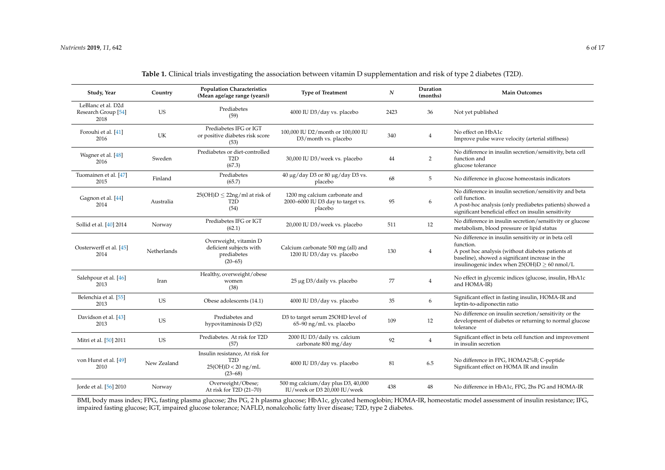| Study, Year                                       | Country     | <b>Population Characteristics</b><br>(Mean age/age range (years))                          | <b>Type of Treatment</b>                                                      | $\boldsymbol{N}$ | Duration<br>(months) | <b>Main Outcomes</b>                                                                                                                                                                                                           |
|---------------------------------------------------|-------------|--------------------------------------------------------------------------------------------|-------------------------------------------------------------------------------|------------------|----------------------|--------------------------------------------------------------------------------------------------------------------------------------------------------------------------------------------------------------------------------|
| LeBlanc et al. D2d<br>Research Group [54]<br>2018 | US          | Prediabetes<br>(59)                                                                        | 4000 IU D3/day vs. placebo                                                    | 2423             | 36                   | Not yet published                                                                                                                                                                                                              |
| Forouhi et al. [41]<br>2016                       | UK          | Prediabetes IFG or IGT<br>or positive diabetes risk score<br>(53)                          | 100,000 IU D2/month or 100,000 IU<br>D3/month vs. placebo                     | 340              | $\overline{4}$       | No effect on HbA1c<br>Improve pulse wave velocity (arterial stiffness)                                                                                                                                                         |
| Wagner et al. [48]<br>2016                        | Sweden      | Prediabetes or diet-controlled<br>T <sub>2</sub> D<br>(67.3)                               | 30,000 IU D3/week vs. placebo                                                 | 44               | $\overline{2}$       | No difference in insulin secretion/sensitivity, beta cell<br>function and<br>glucose tolerance                                                                                                                                 |
| Tuomainen et al. [47]<br>2015                     | Finland     | Prediabetes<br>(65.7)                                                                      | 40 μg/day D3 or 80 μg/day D3 vs.<br>placebo                                   | 68               | 5                    | No difference in glucose homeostasis indicators                                                                                                                                                                                |
| Gagnon et al. [44]<br>2014                        | Australia   | $25(OH)D \leq 22ng/ml$ at risk of<br>T <sub>2</sub> D<br>(54)                              | 1200 mg calcium carbonate and<br>2000-6000 IU D3 day to target vs.<br>placebo | 95               | 6                    | No difference in insulin secretion/sensitivity and beta<br>cell function.<br>A post-hoc analysis (only prediabetes patients) showed a<br>significant beneficial effect on insulin sensitivity                                  |
| Sollid et al. [40] 2014                           | Norway      | Prediabetes IFG or IGT<br>(62.1)                                                           | 20,000 IU D3/week vs. placebo                                                 | 511              | 12                   | No difference in insulin secretion/sensitivity or glucose<br>metabolism, blood pressure or lipid status                                                                                                                        |
| Oosterwerff et al. [45]<br>2014                   | Netherlands | Overweight, vitamin D<br>deficient subjects with<br>prediabetes<br>$(20 - 65)$             | Calcium carbonate 500 mg (all) and<br>1200 IU D3/day vs. placebo              | 130              | $\overline{4}$       | No difference in insulin sensitivity or in beta cell<br>function.<br>A post hoc analysis (without diabetes patients at<br>baseline), showed a significant increase in the<br>insulinogenic index when $25(OH)D \geq 60$ nmol/L |
| Salehpour et al. [46]<br>2013                     | Iran        | Healthy, overweight/obese<br>women<br>(38)                                                 | 25 μg D3/daily vs. placebo                                                    | 77               | $\,4$                | No effect in glycemic indices (glucose, insulin, HbA1c<br>and HOMA-IR)                                                                                                                                                         |
| Belenchia et al. [55]<br>2013                     | <b>US</b>   | Obese adolescents (14.1)                                                                   | 4000 IU D3/day vs. placebo                                                    | 35               | 6                    | Significant effect in fasting insulin, HOMA-IR and<br>leptin-to-adiponectin ratio                                                                                                                                              |
| Davidson et al. [43]<br>2013                      | <b>US</b>   | Prediabetes and<br>hypovitaminosis D (52)                                                  | D3 to target serum 25OHD level of<br>$65-90$ ng/mL vs. placebo                | 109              | 12                   | No difference on insulin secretion/sensitivity or the<br>development of diabetes or returning to normal glucose<br>tolerance                                                                                                   |
| Mitri et al. [50] 2011                            | <b>US</b>   | Prediabetes. At risk for T2D<br>(57)                                                       | 2000 IU D3/daily vs. calcium<br>carbonate 800 mg/day                          | 92               | $\overline{4}$       | Significant effect in beta cell function and improvement<br>in insulin secretion                                                                                                                                               |
| von Hurst et al. [49]<br>2010                     | New Zealand | Insulin resistance, At risk for<br>T <sub>2</sub> D<br>$25(OH)D < 20$ ng/mL<br>$(23 - 68)$ | 4000 IU D3/day vs. placebo                                                    | 81               | 6.5                  | No difference in FPG, HOMA2%B; C-peptide<br>Significant effect on HOMA IR and insulin                                                                                                                                          |
| Jorde et al. [56] 2010                            | Norway      | Overweight/Obese;<br>At risk for T2D (21-70)                                               | 500 mg calcium/day plus D3, 40,000<br>IU/week or D3 20,000 IU/week            | 438              | 48                   | No difference in HbA1c, FPG, 2hs PG and HOMA-IR                                                                                                                                                                                |

**Table 1.** Clinical trials investigating the association between vitamin D supplementation and risk of type 2 diabetes (T2D).

<span id="page-5-0"></span>BMI, body mass index; FPG, fasting plasma glucose; 2hs PG, 2 h plasma glucose; HbA1c, glycated hemoglobin; HOMA-IR, homeostatic model assessment of insulin resistance; IFG, impaired fasting glucose; IGT, impaired glucose tolerance; NAFLD, nonalcoholic fatty liver disease; T2D, type 2 diabetes.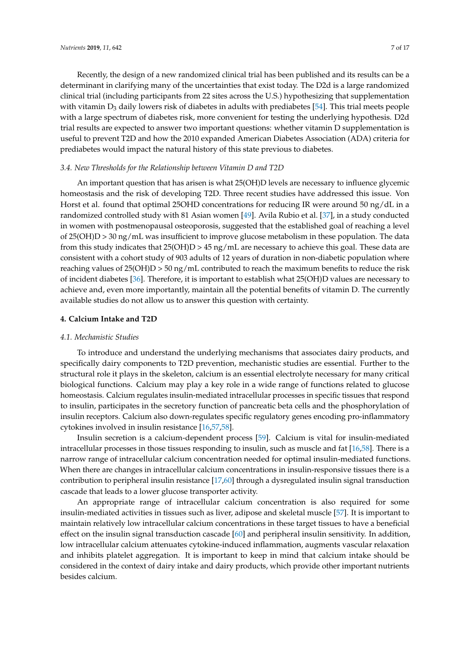Recently, the design of a new randomized clinical trial has been published and its results can be a determinant in clarifying many of the uncertainties that exist today. The D2d is a large randomized clinical trial (including participants from 22 sites across the U.S.) hypothesizing that supplementation with vitamin  $D_3$  daily lowers risk of diabetes in adults with prediabetes [\[54\]](#page-14-6). This trial meets people with a large spectrum of diabetes risk, more convenient for testing the underlying hypothesis. D2d trial results are expected to answer two important questions: whether vitamin D supplementation is useful to prevent T2D and how the 2010 expanded American Diabetes Association (ADA) criteria for prediabetes would impact the natural history of this state previous to diabetes.

#### *3.4. New Thresholds for the Relationship between Vitamin D and T2D*

An important question that has arisen is what 25(OH)D levels are necessary to influence glycemic homeostasis and the risk of developing T2D. Three recent studies have addressed this issue. Von Horst et al. found that optimal 25OHD concentrations for reducing IR were around 50 ng/dL in a randomized controlled study with 81 Asian women [\[49\]](#page-13-11). Avila Rubio et al. [\[37\]](#page-13-3), in a study conducted in women with postmenopausal osteoporosis, suggested that the established goal of reaching a level of 25(OH)D > 30 ng/mL was insufficient to improve glucose metabolism in these population. The data from this study indicates that  $25(OH)D > 45$  ng/mL are necessary to achieve this goal. These data are consistent with a cohort study of 903 adults of 12 years of duration in non-diabetic population where reaching values of 25(OH)D > 50 ng/mL contributed to reach the maximum benefits to reduce the risk of incident diabetes [\[36\]](#page-13-2). Therefore, it is important to establish what 25(OH)D values are necessary to achieve and, even more importantly, maintain all the potential benefits of vitamin D. The currently available studies do not allow us to answer this question with certainty.

#### **4. Calcium Intake and T2D**

#### *4.1. Mechanistic Studies*

To introduce and understand the underlying mechanisms that associates dairy products, and specifically dairy components to T2D prevention, mechanistic studies are essential. Further to the structural role it plays in the skeleton, calcium is an essential electrolyte necessary for many critical biological functions. Calcium may play a key role in a wide range of functions related to glucose homeostasis. Calcium regulates insulin-mediated intracellular processes in specific tissues that respond to insulin, participates in the secretory function of pancreatic beta cells and the phosphorylation of insulin receptors. Calcium also down-regulates specific regulatory genes encoding pro-inflammatory cytokines involved in insulin resistance [\[16,](#page-12-2)[57,](#page-14-7)[58\]](#page-14-8).

Insulin secretion is a calcium-dependent process [\[59\]](#page-14-9). Calcium is vital for insulin-mediated intracellular processes in those tissues responding to insulin, such as muscle and fat [\[16,](#page-12-2)[58\]](#page-14-8). There is a narrow range of intracellular calcium concentration needed for optimal insulin-mediated functions. When there are changes in intracellular calcium concentrations in insulin-responsive tissues there is a contribution to peripheral insulin resistance [\[17,](#page-12-3)[60\]](#page-14-10) through a dysregulated insulin signal transduction cascade that leads to a lower glucose transporter activity.

An appropriate range of intracellular calcium concentration is also required for some insulin-mediated activities in tissues such as liver, adipose and skeletal muscle [\[57\]](#page-14-7). It is important to maintain relatively low intracellular calcium concentrations in these target tissues to have a beneficial effect on the insulin signal transduction cascade [\[60\]](#page-14-10) and peripheral insulin sensitivity. In addition, low intracellular calcium attenuates cytokine-induced inflammation, augments vascular relaxation and inhibits platelet aggregation. It is important to keep in mind that calcium intake should be considered in the context of dairy intake and dairy products, which provide other important nutrients besides calcium.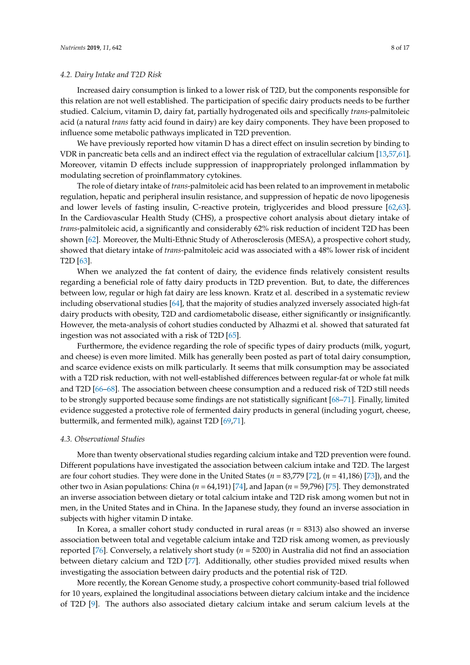#### *4.2. Dairy Intake and T2D Risk*

Increased dairy consumption is linked to a lower risk of T2D, but the components responsible for this relation are not well established. The participation of specific dairy products needs to be further studied. Calcium, vitamin D, dairy fat, partially hydrogenated oils and specifically *trans*-palmitoleic acid (a natural *trans* fatty acid found in dairy) are key dairy components. They have been proposed to influence some metabolic pathways implicated in T2D prevention.

We have previously reported how vitamin D has a direct effect on insulin secretion by binding to VDR in pancreatic beta cells and an indirect effect via the regulation of extracellular calcium [\[13](#page-11-10)[,57](#page-14-7)[,61\]](#page-14-11). Moreover, vitamin D effects include suppression of inappropriately prolonged inflammation by modulating secretion of proinflammatory cytokines.

The role of dietary intake of *trans*-palmitoleic acid has been related to an improvement in metabolic regulation, hepatic and peripheral insulin resistance, and suppression of hepatic de novo lipogenesis and lower levels of fasting insulin, C-reactive protein, triglycerides and blood pressure [\[62,](#page-14-12)[63\]](#page-14-13). In the Cardiovascular Health Study (CHS), a prospective cohort analysis about dietary intake of *trans*-palmitoleic acid, a significantly and considerably 62% risk reduction of incident T2D has been shown [\[62\]](#page-14-12). Moreover, the Multi-Ethnic Study of Atherosclerosis (MESA), a prospective cohort study, showed that dietary intake of *trans*-palmitoleic acid was associated with a 48% lower risk of incident T2D [\[63\]](#page-14-13).

When we analyzed the fat content of dairy, the evidence finds relatively consistent results regarding a beneficial role of fatty dairy products in T2D prevention. But, to date, the differences between low, regular or high fat dairy are less known. Kratz et al. described in a systematic review including observational studies [\[64\]](#page-14-14), that the majority of studies analyzed inversely associated high-fat dairy products with obesity, T2D and cardiometabolic disease, either significantly or insignificantly. However, the meta-analysis of cohort studies conducted by Alhazmi et al. showed that saturated fat ingestion was not associated with a risk of T2D [\[65\]](#page-14-15).

Furthermore, the evidence regarding the role of specific types of dairy products (milk, yogurt, and cheese) is even more limited. Milk has generally been posted as part of total dairy consumption, and scarce evidence exists on milk particularly. It seems that milk consumption may be associated with a T2D risk reduction, with not well-established differences between regular-fat or whole fat milk and T2D [\[66–](#page-14-16)[68\]](#page-14-17). The association between cheese consumption and a reduced risk of T2D still needs to be strongly supported because some findings are not statistically significant [\[68](#page-14-17)[–71\]](#page-15-0). Finally, limited evidence suggested a protective role of fermented dairy products in general (including yogurt, cheese, buttermilk, and fermented milk), against T2D [\[69](#page-14-18)[,71\]](#page-15-0).

#### *4.3. Observational Studies*

More than twenty observational studies regarding calcium intake and T2D prevention were found. Different populations have investigated the association between calcium intake and T2D. The largest are four cohort studies. They were done in the United States (*n* = 83,779 [\[72\]](#page-15-1), (*n* = 41,186) [\[73\]](#page-15-2)), and the other two in Asian populations: China (*n* = 64,191) [\[74\]](#page-15-3), and Japan (*n* = 59,796) [\[75\]](#page-15-4). They demonstrated an inverse association between dietary or total calcium intake and T2D risk among women but not in men, in the United States and in China. In the Japanese study, they found an inverse association in subjects with higher vitamin D intake.

In Korea, a smaller cohort study conducted in rural areas (*n* = 8313) also showed an inverse association between total and vegetable calcium intake and T2D risk among women, as previously reported [\[76\]](#page-15-5). Conversely, a relatively short study (*n* = 5200) in Australia did not find an association between dietary calcium and T2D [\[77\]](#page-15-6). Additionally, other studies provided mixed results when investigating the association between dairy products and the potential risk of T2D.

More recently, the Korean Genome study, a prospective cohort community-based trial followed for 10 years, explained the longitudinal associations between dietary calcium intake and the incidence of T2D [\[9\]](#page-11-6). The authors also associated dietary calcium intake and serum calcium levels at the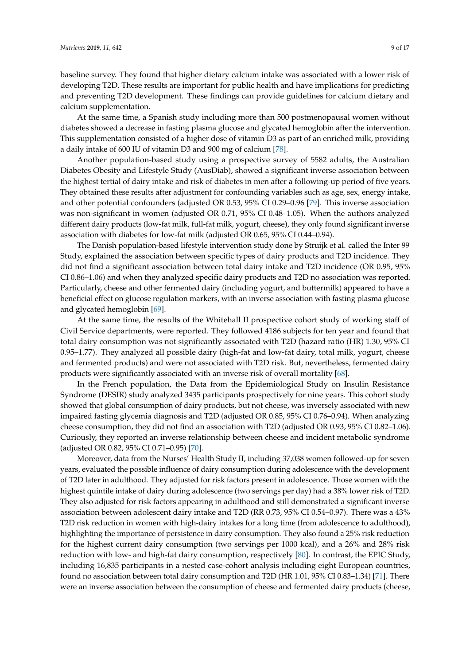baseline survey. They found that higher dietary calcium intake was associated with a lower risk of developing T2D. These results are important for public health and have implications for predicting and preventing T2D development. These findings can provide guidelines for calcium dietary and calcium supplementation.

At the same time, a Spanish study including more than 500 postmenopausal women without diabetes showed a decrease in fasting plasma glucose and glycated hemoglobin after the intervention. This supplementation consisted of a higher dose of vitamin D3 as part of an enriched milk, providing a daily intake of 600 IU of vitamin D3 and 900 mg of calcium [\[78\]](#page-15-7).

Another population-based study using a prospective survey of 5582 adults, the Australian Diabetes Obesity and Lifestyle Study (AusDiab), showed a significant inverse association between the highest tertial of dairy intake and risk of diabetes in men after a following-up period of five years. They obtained these results after adjustment for confounding variables such as age, sex, energy intake, and other potential confounders (adjusted OR 0.53, 95% CI 0.29–0.96 [\[79\]](#page-15-8). This inverse association was non-significant in women (adjusted OR 0.71, 95% CI 0.48–1.05). When the authors analyzed different dairy products (low-fat milk, full-fat milk, yogurt, cheese), they only found significant inverse association with diabetes for low-fat milk (adjusted OR 0.65, 95% CI 0.44–0.94).

The Danish population-based lifestyle intervention study done by Struijk et al. called the Inter 99 Study, explained the association between specific types of dairy products and T2D incidence. They did not find a significant association between total dairy intake and T2D incidence (OR 0.95, 95% CI 0.86–1.06) and when they analyzed specific dairy products and T2D no association was reported. Particularly, cheese and other fermented dairy (including yogurt, and buttermilk) appeared to have a beneficial effect on glucose regulation markers, with an inverse association with fasting plasma glucose and glycated hemoglobin [\[69\]](#page-14-18).

At the same time, the results of the Whitehall II prospective cohort study of working staff of Civil Service departments, were reported. They followed 4186 subjects for ten year and found that total dairy consumption was not significantly associated with T2D (hazard ratio (HR) 1.30, 95% CI 0.95–1.77). They analyzed all possible dairy (high-fat and low-fat dairy, total milk, yogurt, cheese and fermented products) and were not associated with T2D risk. But, nevertheless, fermented dairy products were significantly associated with an inverse risk of overall mortality [\[68\]](#page-14-17).

In the French population, the Data from the Epidemiological Study on Insulin Resistance Syndrome (DESIR) study analyzed 3435 participants prospectively for nine years. This cohort study showed that global consumption of dairy products, but not cheese, was inversely associated with new impaired fasting glycemia diagnosis and T2D (adjusted OR 0.85, 95% CI 0.76–0.94). When analyzing cheese consumption, they did not find an association with T2D (adjusted OR 0.93, 95% CI 0.82–1.06). Curiously, they reported an inverse relationship between cheese and incident metabolic syndrome (adjusted OR 0.82, 95% CI 0.71–0.95) [\[70\]](#page-15-9).

Moreover, data from the Nurses' Health Study II, including 37,038 women followed-up for seven years, evaluated the possible influence of dairy consumption during adolescence with the development of T2D later in adulthood. They adjusted for risk factors present in adolescence. Those women with the highest quintile intake of dairy during adolescence (two servings per day) had a 38% lower risk of T2D. They also adjusted for risk factors appearing in adulthood and still demonstrated a significant inverse association between adolescent dairy intake and T2D (RR 0.73, 95% CI 0.54–0.97). There was a 43% T2D risk reduction in women with high-dairy intakes for a long time (from adolescence to adulthood), highlighting the importance of persistence in dairy consumption. They also found a 25% risk reduction for the highest current dairy consumption (two servings per 1000 kcal), and a 26% and 28% risk reduction with low- and high-fat dairy consumption, respectively [\[80\]](#page-15-10). In contrast, the EPIC Study, including 16,835 participants in a nested case-cohort analysis including eight European countries, found no association between total dairy consumption and T2D (HR 1.01, 95% CI 0.83–1.34) [\[71\]](#page-15-0). There were an inverse association between the consumption of cheese and fermented dairy products (cheese,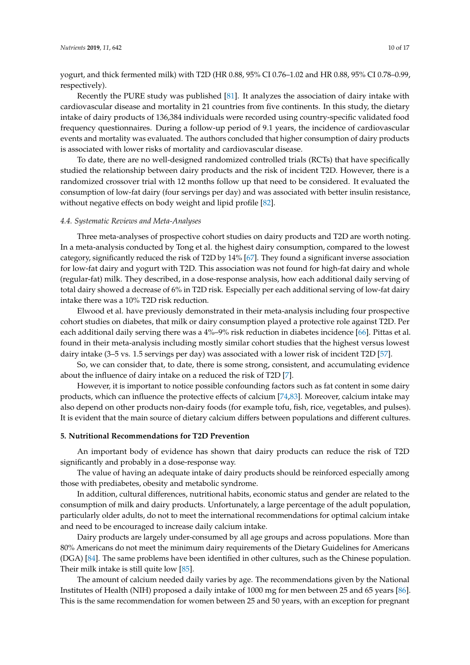yogurt, and thick fermented milk) with T2D (HR 0.88, 95% CI 0.76–1.02 and HR 0.88, 95% CI 0.78–0.99, respectively).

Recently the PURE study was published [\[81\]](#page-15-11). It analyzes the association of dairy intake with cardiovascular disease and mortality in 21 countries from five continents. In this study, the dietary intake of dairy products of 136,384 individuals were recorded using country-specific validated food frequency questionnaires. During a follow-up period of 9.1 years, the incidence of cardiovascular events and mortality was evaluated. The authors concluded that higher consumption of dairy products is associated with lower risks of mortality and cardiovascular disease.

To date, there are no well-designed randomized controlled trials (RCTs) that have specifically studied the relationship between dairy products and the risk of incident T2D. However, there is a randomized crossover trial with 12 months follow up that need to be considered. It evaluated the consumption of low-fat dairy (four servings per day) and was associated with better insulin resistance, without negative effects on body weight and lipid profile [\[82\]](#page-15-12).

#### *4.4. Systematic Reviews and Meta-Analyses*

Three meta-analyses of prospective cohort studies on dairy products and T2D are worth noting. In a meta-analysis conducted by Tong et al. the highest dairy consumption, compared to the lowest category, significantly reduced the risk of T2D by 14% [\[67\]](#page-14-19). They found a significant inverse association for low-fat dairy and yogurt with T2D. This association was not found for high-fat dairy and whole (regular-fat) milk. They described, in a dose-response analysis, how each additional daily serving of total dairy showed a decrease of 6% in T2D risk. Especially per each additional serving of low-fat dairy intake there was a 10% T2D risk reduction.

Elwood et al. have previously demonstrated in their meta-analysis including four prospective cohort studies on diabetes, that milk or dairy consumption played a protective role against T2D. Per each additional daily serving there was a 4%–9% risk reduction in diabetes incidence [\[66\]](#page-14-16). Pittas et al. found in their meta-analysis including mostly similar cohort studies that the highest versus lowest dairy intake (3–5 vs. 1.5 servings per day) was associated with a lower risk of incident T2D [\[57\]](#page-14-7).

So, we can consider that, to date, there is some strong, consistent, and accumulating evidence about the influence of dairy intake on a reduced the risk of T2D [\[7\]](#page-11-5).

However, it is important to notice possible confounding factors such as fat content in some dairy products, which can influence the protective effects of calcium [\[74](#page-15-3)[,83\]](#page-15-13). Moreover, calcium intake may also depend on other products non-dairy foods (for example tofu, fish, rice, vegetables, and pulses). It is evident that the main source of dietary calcium differs between populations and different cultures.

#### **5. Nutritional Recommendations for T2D Prevention**

An important body of evidence has shown that dairy products can reduce the risk of T2D significantly and probably in a dose-response way.

The value of having an adequate intake of dairy products should be reinforced especially among those with prediabetes, obesity and metabolic syndrome.

In addition, cultural differences, nutritional habits, economic status and gender are related to the consumption of milk and dairy products. Unfortunately, a large percentage of the adult population, particularly older adults, do not to meet the international recommendations for optimal calcium intake and need to be encouraged to increase daily calcium intake.

Dairy products are largely under-consumed by all age groups and across populations. More than 80% Americans do not meet the minimum dairy requirements of the Dietary Guidelines for Americans (DGA) [\[84\]](#page-15-14). The same problems have been identified in other cultures, such as the Chinese population. Their milk intake is still quite low [\[85\]](#page-15-15).

The amount of calcium needed daily varies by age. The recommendations given by the National Institutes of Health (NIH) proposed a daily intake of 1000 mg for men between 25 and 65 years [\[86\]](#page-15-16). This is the same recommendation for women between 25 and 50 years, with an exception for pregnant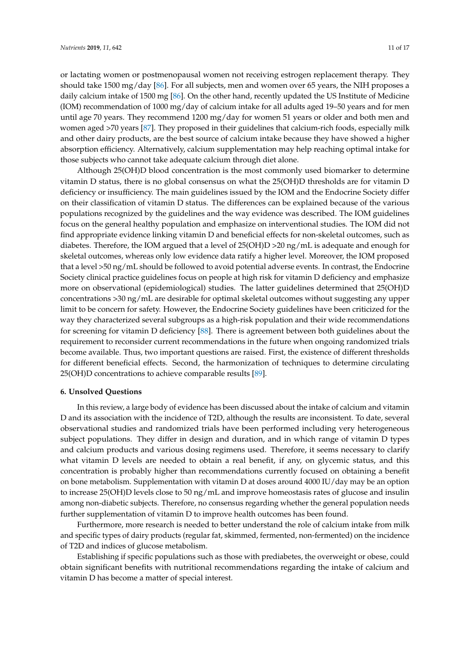or lactating women or postmenopausal women not receiving estrogen replacement therapy. They should take 1500 mg/day [\[86\]](#page-15-16). For all subjects, men and women over 65 years, the NIH proposes a daily calcium intake of 1500 mg [\[86\]](#page-15-16). On the other hand, recently updated the US Institute of Medicine (IOM) recommendation of 1000 mg/day of calcium intake for all adults aged 19–50 years and for men until age 70 years. They recommend 1200 mg/day for women 51 years or older and both men and women aged >70 years [\[87\]](#page-15-17). They proposed in their guidelines that calcium-rich foods, especially milk and other dairy products, are the best source of calcium intake because they have showed a higher absorption efficiency. Alternatively, calcium supplementation may help reaching optimal intake for those subjects who cannot take adequate calcium through diet alone.

Although 25(OH)D blood concentration is the most commonly used biomarker to determine vitamin D status, there is no global consensus on what the 25(OH)D thresholds are for vitamin D deficiency or insufficiency. The main guidelines issued by the IOM and the Endocrine Society differ on their classification of vitamin D status. The differences can be explained because of the various populations recognized by the guidelines and the way evidence was described. The IOM guidelines focus on the general healthy population and emphasize on interventional studies. The IOM did not find appropriate evidence linking vitamin D and beneficial effects for non-skeletal outcomes, such as diabetes. Therefore, the IOM argued that a level of 25(OH)D >20 ng/mL is adequate and enough for skeletal outcomes, whereas only low evidence data ratify a higher level. Moreover, the IOM proposed that a level >50 ng/mL should be followed to avoid potential adverse events. In contrast, the Endocrine Society clinical practice guidelines focus on people at high risk for vitamin D deficiency and emphasize more on observational (epidemiological) studies. The latter guidelines determined that 25(OH)D concentrations >30 ng/mL are desirable for optimal skeletal outcomes without suggesting any upper limit to be concern for safety. However, the Endocrine Society guidelines have been criticized for the way they characterized several subgroups as a high-risk population and their wide recommendations for screening for vitamin D deficiency [\[88\]](#page-16-0). There is agreement between both guidelines about the requirement to reconsider current recommendations in the future when ongoing randomized trials become available. Thus, two important questions are raised. First, the existence of different thresholds for different beneficial effects. Second, the harmonization of techniques to determine circulating 25(OH)D concentrations to achieve comparable results [\[89\]](#page-16-1).

#### **6. Unsolved Questions**

In this review, a large body of evidence has been discussed about the intake of calcium and vitamin D and its association with the incidence of T2D, although the results are inconsistent. To date, several observational studies and randomized trials have been performed including very heterogeneous subject populations. They differ in design and duration, and in which range of vitamin D types and calcium products and various dosing regimens used. Therefore, it seems necessary to clarify what vitamin D levels are needed to obtain a real benefit, if any, on glycemic status, and this concentration is probably higher than recommendations currently focused on obtaining a benefit on bone metabolism. Supplementation with vitamin D at doses around 4000 IU/day may be an option to increase 25(OH)D levels close to 50 ng/mL and improve homeostasis rates of glucose and insulin among non-diabetic subjects. Therefore, no consensus regarding whether the general population needs further supplementation of vitamin D to improve health outcomes has been found.

Furthermore, more research is needed to better understand the role of calcium intake from milk and specific types of dairy products (regular fat, skimmed, fermented, non-fermented) on the incidence of T2D and indices of glucose metabolism.

Establishing if specific populations such as those with prediabetes, the overweight or obese, could obtain significant benefits with nutritional recommendations regarding the intake of calcium and vitamin D has become a matter of special interest.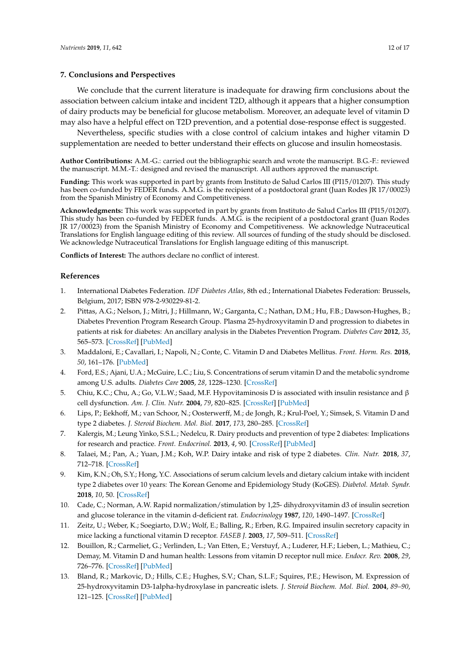#### **7. Conclusions and Perspectives**

We conclude that the current literature is inadequate for drawing firm conclusions about the association between calcium intake and incident T2D, although it appears that a higher consumption of dairy products may be beneficial for glucose metabolism. Moreover, an adequate level of vitamin D may also have a helpful effect on T2D prevention, and a potential dose-response effect is suggested.

Nevertheless, specific studies with a close control of calcium intakes and higher vitamin D supplementation are needed to better understand their effects on glucose and insulin homeostasis.

**Author Contributions:** A.M.-G.: carried out the bibliographic search and wrote the manuscript. B.G.-F.: reviewed the manuscript. M.M.-T.: designed and revised the manuscript. All authors approved the manuscript.

**Funding:** This work was supported in part by grants from Instituto de Salud Carlos III (PI15/01207). This study has been co-funded by FEDER funds. A.M.G. is the recipient of a postdoctoral grant (Juan Rodes JR 17/00023) from the Spanish Ministry of Economy and Competitiveness.

**Acknowledgments:** This work was supported in part by grants from Instituto de Salud Carlos III (PI15/01207). This study has been co-funded by FEDER funds. A.M.G. is the recipient of a postdoctoral grant (Juan Rodes JR 17/00023) from the Spanish Ministry of Economy and Competitiveness. We acknowledge Nutraceutical Translations for English language editing of this review. All sources of funding of the study should be disclosed. We acknowledge Nutraceutical Translations for English language editing of this manuscript.

**Conflicts of Interest:** The authors declare no conflict of interest.

### **References**

- <span id="page-11-0"></span>1. International Diabetes Federation. *IDF Diabetes Atlas*, 8th ed.; International Diabetes Federation: Brussels, Belgium, 2017; ISBN 978-2-930229-81-2.
- <span id="page-11-1"></span>2. Pittas, A.G.; Nelson, J.; Mitri, J.; Hillmann, W.; Garganta, C.; Nathan, D.M.; Hu, F.B.; Dawson-Hughes, B.; Diabetes Prevention Program Research Group. Plasma 25-hydroxyvitamin D and progression to diabetes in patients at risk for diabetes: An ancillary analysis in the Diabetes Prevention Program. *Diabetes Care* **2012**, *35*, 565–573. [\[CrossRef\]](http://dx.doi.org/10.2337/dc11-1795) [\[PubMed\]](http://www.ncbi.nlm.nih.gov/pubmed/22323410)
- <span id="page-11-2"></span>3. Maddaloni, E.; Cavallari, I.; Napoli, N.; Conte, C. Vitamin D and Diabetes Mellitus. *Front. Horm. Res.* **2018**, *50*, 161–176. [\[PubMed\]](http://www.ncbi.nlm.nih.gov/pubmed/29597238)
- <span id="page-11-3"></span>4. Ford, E.S.; Ajani, U.A.; McGuire, L.C.; Liu, S. Concentrations of serum vitamin D and the metabolic syndrome among U.S. adults. *Diabetes Care* **2005**, *28*, 1228–1230. [\[CrossRef\]](http://dx.doi.org/10.2337/diacare.28.5.1228)
- <span id="page-11-11"></span>5. Chiu, K.C.; Chu, A.; Go, V.L.W.; Saad, M.F. Hypovitaminosis D is associated with insulin resistance and β cell dysfunction. *Am. J. Clin. Nutr.* **2004**, *79*, 820–825. [\[CrossRef\]](http://dx.doi.org/10.1093/ajcn/79.5.820) [\[PubMed\]](http://www.ncbi.nlm.nih.gov/pubmed/15113720)
- <span id="page-11-4"></span>6. Lips, P.; Eekhoff, M.; van Schoor, N.; Oosterwerff, M.; de Jongh, R.; Krul-Poel, Y.; Simsek, S. Vitamin D and type 2 diabetes. *J. Steroid Biochem. Mol. Biol.* **2017**, *173*, 280–285. [\[CrossRef\]](http://dx.doi.org/10.1016/j.jsbmb.2016.11.021)
- <span id="page-11-5"></span>7. Kalergis, M.; Leung Yinko, S.S.L.; Nedelcu, R. Dairy products and prevention of type 2 diabetes: Implications for research and practice. *Front. Endocrinol.* **2013**, *4*, 90. [\[CrossRef\]](http://dx.doi.org/10.3389/fendo.2013.00090) [\[PubMed\]](http://www.ncbi.nlm.nih.gov/pubmed/23888154)
- 8. Talaei, M.; Pan, A.; Yuan, J.M.; Koh, W.P. Dairy intake and risk of type 2 diabetes. *Clin. Nutr.* **2018**, *37*, 712–718. [\[CrossRef\]](http://dx.doi.org/10.1016/j.clnu.2017.02.022)
- <span id="page-11-6"></span>9. Kim, K.N.; Oh, S.Y.; Hong, Y.C. Associations of serum calcium levels and dietary calcium intake with incident type 2 diabetes over 10 years: The Korean Genome and Epidemiology Study (KoGES). *Diabetol. Metab. Syndr.* **2018**, *10*, 50. [\[CrossRef\]](http://dx.doi.org/10.1186/s13098-018-0349-y)
- <span id="page-11-7"></span>10. Cade, C.; Norman, A.W. Rapid normalization/stimulation by 1,25- dihydroxyvitamin d3 of insulin secretion and glucose tolerance in the vitamin d-deficient rat. *Endocrinology* **1987**, *120*, 1490–1497. [\[CrossRef\]](http://dx.doi.org/10.1210/endo-120-4-1490)
- <span id="page-11-8"></span>11. Zeitz, U.; Weber, K.; Soegiarto, D.W.; Wolf, E.; Balling, R.; Erben, R.G. Impaired insulin secretory capacity in mice lacking a functional vitamin D receptor. *FASEB J.* **2003**, *17*, 509–511. [\[CrossRef\]](http://dx.doi.org/10.1096/fj.02-0424fje)
- <span id="page-11-9"></span>12. Bouillon, R.; Carmeliet, G.; Verlinden, L.; Van Etten, E.; Verstuyf, A.; Luderer, H.F.; Lieben, L.; Mathieu, C.; Demay, M. Vitamin D and human health: Lessons from vitamin D receptor null mice. *Endocr. Rev.* **2008**, *29*, 726–776. [\[CrossRef\]](http://dx.doi.org/10.1210/er.2008-0004) [\[PubMed\]](http://www.ncbi.nlm.nih.gov/pubmed/18694980)
- <span id="page-11-10"></span>13. Bland, R.; Markovic, D.; Hills, C.E.; Hughes, S.V.; Chan, S.L.F.; Squires, P.E.; Hewison, M. Expression of 25-hydroxyvitamin D3-1alpha-hydroxylase in pancreatic islets. *J. Steroid Biochem. Mol. Biol.* **2004**, *89–90*, 121–125. [\[CrossRef\]](http://dx.doi.org/10.1016/j.jsbmb.2004.03.115) [\[PubMed\]](http://www.ncbi.nlm.nih.gov/pubmed/15225758)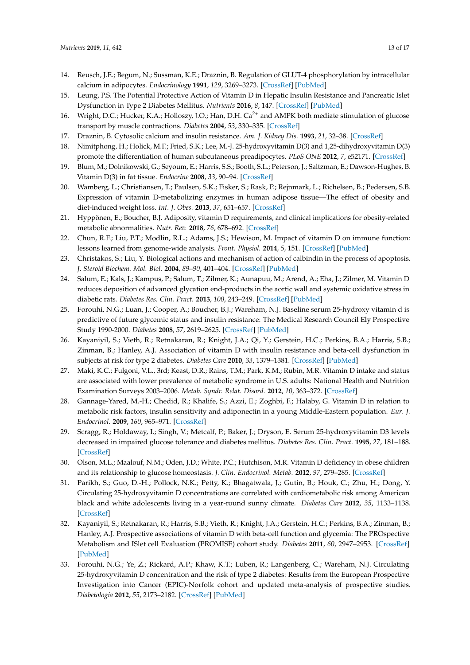- <span id="page-12-0"></span>14. Reusch, J.E.; Begum, N.; Sussman, K.E.; Draznin, B. Regulation of GLUT-4 phosphorylation by intracellular calcium in adipocytes. *Endocrinology* **1991**, *129*, 3269–3273. [\[CrossRef\]](http://dx.doi.org/10.1210/endo-129-6-3269) [\[PubMed\]](http://www.ncbi.nlm.nih.gov/pubmed/1659526)
- <span id="page-12-1"></span>15. Leung, P.S. The Potential Protective Action of Vitamin D in Hepatic Insulin Resistance and Pancreatic Islet Dysfunction in Type 2 Diabetes Mellitus. *Nutrients* **2016**, *8*, 147. [\[CrossRef\]](http://dx.doi.org/10.3390/nu8030147) [\[PubMed\]](http://www.ncbi.nlm.nih.gov/pubmed/26959059)
- <span id="page-12-2"></span>16. Wright, D.C.; Hucker, K.A.; Holloszy, J.O.; Han, D.H. Ca<sup>2+</sup> and AMPK both mediate stimulation of glucose transport by muscle contractions. *Diabetes* **2004**, *53*, 330–335. [\[CrossRef\]](http://dx.doi.org/10.2337/diabetes.53.2.330)
- <span id="page-12-3"></span>17. Draznin, B. Cytosolic calcium and insulin resistance. *Am. J. Kidney Dis.* **1993**, *21*, 32–38. [\[CrossRef\]](http://dx.doi.org/10.1016/0272-6386(93)70122-F)
- <span id="page-12-4"></span>18. Nimitphong, H.; Holick, M.F.; Fried, S.K.; Lee, M.-J. 25-hydroxyvitamin D(3) and 1,25-dihydroxyvitamin D(3) promote the differentiation of human subcutaneous preadipocytes. *PLoS ONE* **2012**, *7*, e52171. [\[CrossRef\]](http://dx.doi.org/10.1371/journal.pone.0052171)
- <span id="page-12-5"></span>19. Blum, M.; Dolnikowski, G.; Seyoum, E.; Harris, S.S.; Booth, S.L.; Peterson, J.; Saltzman, E.; Dawson-Hughes, B. Vitamin D(3) in fat tissue. *Endocrine* **2008**, *33*, 90–94. [\[CrossRef\]](http://dx.doi.org/10.1007/s12020-008-9051-4)
- <span id="page-12-6"></span>20. Wamberg, L.; Christiansen, T.; Paulsen, S.K.; Fisker, S.; Rask, P.; Rejnmark, L.; Richelsen, B.; Pedersen, S.B. Expression of vitamin D-metabolizing enzymes in human adipose tissue—The effect of obesity and diet-induced weight loss. *Int. J. Obes.* **2013**, *37*, 651–657. [\[CrossRef\]](http://dx.doi.org/10.1038/ijo.2012.112)
- <span id="page-12-7"></span>21. Hyppönen, E.; Boucher, B.J. Adiposity, vitamin D requirements, and clinical implications for obesity-related metabolic abnormalities. *Nutr. Rev.* **2018**, *76*, 678–692. [\[CrossRef\]](http://dx.doi.org/10.1093/nutrit/nuy034)
- <span id="page-12-8"></span>22. Chun, R.F.; Liu, P.T.; Modlin, R.L.; Adams, J.S.; Hewison, M. Impact of vitamin D on immune function: lessons learned from genome-wide analysis. *Front. Physiol.* **2014**, *5*, 151. [\[CrossRef\]](http://dx.doi.org/10.3389/fphys.2014.00151) [\[PubMed\]](http://www.ncbi.nlm.nih.gov/pubmed/24795646)
- <span id="page-12-9"></span>23. Christakos, S.; Liu, Y. Biological actions and mechanism of action of calbindin in the process of apoptosis. *J. Steroid Biochem. Mol. Biol.* **2004**, *89–90*, 401–404. [\[CrossRef\]](http://dx.doi.org/10.1016/j.jsbmb.2004.03.007) [\[PubMed\]](http://www.ncbi.nlm.nih.gov/pubmed/15225809)
- <span id="page-12-10"></span>24. Salum, E.; Kals, J.; Kampus, P.; Salum, T.; Zilmer, K.; Aunapuu, M.; Arend, A.; Eha, J.; Zilmer, M. Vitamin D reduces deposition of advanced glycation end-products in the aortic wall and systemic oxidative stress in diabetic rats. *Diabetes Res. Clin. Pract.* **2013**, *100*, 243–249. [\[CrossRef\]](http://dx.doi.org/10.1016/j.diabres.2013.03.008) [\[PubMed\]](http://www.ncbi.nlm.nih.gov/pubmed/23522919)
- <span id="page-12-11"></span>25. Forouhi, N.G.; Luan, J.; Cooper, A.; Boucher, B.J.; Wareham, N.J. Baseline serum 25-hydroxy vitamin d is predictive of future glycemic status and insulin resistance: The Medical Research Council Ely Prospective Study 1990-2000. *Diabetes* **2008**, *57*, 2619–2625. [\[CrossRef\]](http://dx.doi.org/10.2337/db08-0593) [\[PubMed\]](http://www.ncbi.nlm.nih.gov/pubmed/18591391)
- 26. Kayaniyil, S.; Vieth, R.; Retnakaran, R.; Knight, J.A.; Qi, Y.; Gerstein, H.C.; Perkins, B.A.; Harris, S.B.; Zinman, B.; Hanley, A.J. Association of vitamin D with insulin resistance and beta-cell dysfunction in subjects at risk for type 2 diabetes. *Diabetes Care* **2010**, *33*, 1379–1381. [\[CrossRef\]](http://dx.doi.org/10.2337/dc09-2321) [\[PubMed\]](http://www.ncbi.nlm.nih.gov/pubmed/20215450)
- <span id="page-12-12"></span>27. Maki, K.C.; Fulgoni, V.L., 3rd; Keast, D.R.; Rains, T.M.; Park, K.M.; Rubin, M.R. Vitamin D intake and status are associated with lower prevalence of metabolic syndrome in U.S. adults: National Health and Nutrition Examination Surveys 2003–2006. *Metab. Syndr. Relat. Disord.* **2012**, *10*, 363–372. [\[CrossRef\]](http://dx.doi.org/10.1089/met.2012.0020)
- <span id="page-12-13"></span>28. Gannage-Yared, M.-H.; Chedid, R.; Khalife, S.; Azzi, E.; Zoghbi, F.; Halaby, G. Vitamin D in relation to metabolic risk factors, insulin sensitivity and adiponectin in a young Middle-Eastern population. *Eur. J. Endocrinol.* **2009**, *160*, 965–971. [\[CrossRef\]](http://dx.doi.org/10.1530/EJE-08-0952)
- <span id="page-12-14"></span>29. Scragg, R.; Holdaway, I.; Singh, V.; Metcalf, P.; Baker, J.; Dryson, E. Serum 25-hydroxyvitamin D3 levels decreased in impaired glucose tolerance and diabetes mellitus. *Diabetes Res. Clin. Pract.* **1995**, *27*, 181–188. [\[CrossRef\]](http://dx.doi.org/10.1016/0168-8227(95)01040-K)
- <span id="page-12-15"></span>30. Olson, M.L.; Maalouf, N.M.; Oden, J.D.; White, P.C.; Hutchison, M.R. Vitamin D deficiency in obese children and its relationship to glucose homeostasis. *J. Clin. Endocrinol. Metab.* **2012**, *97*, 279–285. [\[CrossRef\]](http://dx.doi.org/10.1210/jc.2011-1507)
- <span id="page-12-16"></span>31. Parikh, S.; Guo, D.-H.; Pollock, N.K.; Petty, K.; Bhagatwala, J.; Gutin, B.; Houk, C.; Zhu, H.; Dong, Y. Circulating 25-hydroxyvitamin D concentrations are correlated with cardiometabolic risk among American black and white adolescents living in a year-round sunny climate. *Diabetes Care* **2012**, *35*, 1133–1138. [\[CrossRef\]](http://dx.doi.org/10.2337/dc11-1944)
- <span id="page-12-17"></span>32. Kayaniyil, S.; Retnakaran, R.; Harris, S.B.; Vieth, R.; Knight, J.A.; Gerstein, H.C.; Perkins, B.A.; Zinman, B.; Hanley, A.J. Prospective associations of vitamin D with beta-cell function and glycemia: The PROspective Metabolism and ISlet cell Evaluation (PROMISE) cohort study. *Diabetes* **2011**, *60*, 2947–2953. [\[CrossRef\]](http://dx.doi.org/10.2337/db11-0465) [\[PubMed\]](http://www.ncbi.nlm.nih.gov/pubmed/21911752)
- <span id="page-12-18"></span>33. Forouhi, N.G.; Ye, Z.; Rickard, A.P.; Khaw, K.T.; Luben, R.; Langenberg, C.; Wareham, N.J. Circulating 25-hydroxyvitamin D concentration and the risk of type 2 diabetes: Results from the European Prospective Investigation into Cancer (EPIC)-Norfolk cohort and updated meta-analysis of prospective studies. *Diabetologia* **2012**, *55*, 2173–2182. [\[CrossRef\]](http://dx.doi.org/10.1007/s00125-012-2544-y) [\[PubMed\]](http://www.ncbi.nlm.nih.gov/pubmed/22526608)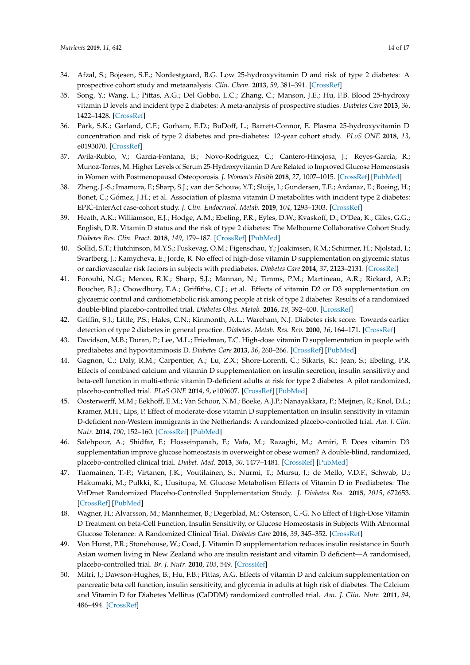- <span id="page-13-16"></span><span id="page-13-13"></span><span id="page-13-1"></span>34. Afzal, S.; Bojesen, S.E.; Nordestgaard, B.G. Low 25-hydroxyvitamin D and risk of type 2 diabetes: A prospective cohort study and metaanalysis. *Clin. Chem.* **2013**, *59*, 381–391. [\[CrossRef\]](http://dx.doi.org/10.1373/clinchem.2012.193003)
- <span id="page-13-0"></span>35. Song, Y.; Wang, L.; Pittas, A.G.; Del Gobbo, L.C.; Zhang, C.; Manson, J.E.; Hu, F.B. Blood 25-hydroxy vitamin D levels and incident type 2 diabetes: A meta-analysis of prospective studies. *Diabetes Care* **2013**, *36*, 1422–1428. [\[CrossRef\]](http://dx.doi.org/10.2337/dc12-0962)
- <span id="page-13-2"></span>36. Park, S.K.; Garland, C.F.; Gorham, E.D.; BuDoff, L.; Barrett-Connor, E. Plasma 25-hydroxyvitamin D concentration and risk of type 2 diabetes and pre-diabetes: 12-year cohort study. *PLoS ONE* **2018**, *13*, e0193070. [\[CrossRef\]](http://dx.doi.org/10.1371/journal.pone.0193070)
- <span id="page-13-19"></span><span id="page-13-15"></span><span id="page-13-3"></span>37. Avila-Rubio, V.; Garcia-Fontana, B.; Novo-Rodriguez, C.; Cantero-Hinojosa, J.; Reyes-Garcia, R.; Munoz-Torres, M. Higher Levels of Serum 25-Hydroxyvitamin D Are Related to Improved Glucose Homeostasis in Women with Postmenopausal Osteoporosis. *J. Women's Health* **2018**, *27*, 1007–1015. [\[CrossRef\]](http://dx.doi.org/10.1089/jwh.2017.6806) [\[PubMed\]](http://www.ncbi.nlm.nih.gov/pubmed/29874115)
- <span id="page-13-17"></span><span id="page-13-4"></span>38. Zheng, J.-S.; Imamura, F.; Sharp, S.J.; van der Schouw, Y.T.; Sluijs, I.; Gundersen, T.E.; Ardanaz, E.; Boeing, H.; Bonet, C.; Gómez, J.H.; et al. Association of plasma vitamin D metabolites with incident type 2 diabetes: EPIC-InterAct case-cohort study. *J. Clin. Endocrinol. Metab.* **2019**, *104*, 1293–1303. [\[CrossRef\]](http://dx.doi.org/10.1210/jc.2018-01522)
- <span id="page-13-5"></span>39. Heath, A.K.; Williamson, E.J.; Hodge, A.M.; Ebeling, P.R.; Eyles, D.W.; Kvaskoff, D.; O'Dea, K.; Giles, G.G.; English, D.R. Vitamin D status and the risk of type 2 diabetes: The Melbourne Collaborative Cohort Study. *Diabetes Res. Clin. Pract.* **2018**, *149*, 179–187. [\[CrossRef\]](http://dx.doi.org/10.1016/j.diabres.2018.05.007) [\[PubMed\]](http://www.ncbi.nlm.nih.gov/pubmed/29782935)
- <span id="page-13-18"></span><span id="page-13-6"></span>40. Sollid, S.T.; Hutchinson, M.Y.S.; Fuskevag, O.M.; Figenschau, Y.; Joakimsen, R.M.; Schirmer, H.; Njolstad, I.; Svartberg, J.; Kamycheva, E.; Jorde, R. No effect of high-dose vitamin D supplementation on glycemic status or cardiovascular risk factors in subjects with prediabetes. *Diabetes Care* **2014**, *37*, 2123–2131. [\[CrossRef\]](http://dx.doi.org/10.2337/dc14-0218)
- <span id="page-13-7"></span>41. Forouhi, N.G.; Menon, R.K.; Sharp, S.J.; Mannan, N.; Timms, P.M.; Martineau, A.R.; Rickard, A.P.; Boucher, B.J.; Chowdhury, T.A.; Griffiths, C.J.; et al. Effects of vitamin D2 or D3 supplementation on glycaemic control and cardiometabolic risk among people at risk of type 2 diabetes: Results of a randomized double-blind placebo-controlled trial. *Diabetes Obes. Metab.* **2016**, *18*, 392–400. [\[CrossRef\]](http://dx.doi.org/10.1111/dom.12625)
- <span id="page-13-14"></span><span id="page-13-8"></span>42. Griffin, S.J.; Little, P.S.; Hales, C.N.; Kinmonth, A.L.; Wareham, N.J. Diabetes risk score: Towards earlier detection of type 2 diabetes in general practice. *Diabetes. Metab. Res. Rev.* **2000**, *16*, 164–171. [\[CrossRef\]](http://dx.doi.org/10.1002/1520-7560(200005/06)16:3<164::AID-DMRR103>3.0.CO;2-R)
- <span id="page-13-21"></span><span id="page-13-9"></span>43. Davidson, M.B.; Duran, P.; Lee, M.L.; Friedman, T.C. High-dose vitamin D supplementation in people with prediabetes and hypovitaminosis D. *Diabetes Care* **2013**, *36*, 260–266. [\[CrossRef\]](http://dx.doi.org/10.2337/dc12-1204) [\[PubMed\]](http://www.ncbi.nlm.nih.gov/pubmed/23033239)
- <span id="page-13-20"></span><span id="page-13-10"></span>44. Gagnon, C.; Daly, R.M.; Carpentier, A.; Lu, Z.X.; Shore-Lorenti, C.; Sikaris, K.; Jean, S.; Ebeling, P.R. Effects of combined calcium and vitamin D supplementation on insulin secretion, insulin sensitivity and beta-cell function in multi-ethnic vitamin D-deficient adults at risk for type 2 diabetes: A pilot randomized, placebo-controlled trial. *PLoS ONE* **2014**, *9*, e109607. [\[CrossRef\]](http://dx.doi.org/10.1371/journal.pone.0109607) [\[PubMed\]](http://www.ncbi.nlm.nih.gov/pubmed/25299668)
- 45. Oosterwerff, M.M.; Eekhoff, E.M.; Van Schoor, N.M.; Boeke, A.J.P.; Nanayakkara, P.; Meijnen, R.; Knol, D.L.; Kramer, M.H.; Lips, P. Effect of moderate-dose vitamin D supplementation on insulin sensitivity in vitamin D-deficient non-Western immigrants in the Netherlands: A randomized placebo-controlled trial. *Am. J. Clin. Nutr.* **2014**, *100*, 152–160. [\[CrossRef\]](http://dx.doi.org/10.3945/ajcn.113.069260) [\[PubMed\]](http://www.ncbi.nlm.nih.gov/pubmed/24898240)
- 46. Salehpour, A.; Shidfar, F.; Hosseinpanah, F.; Vafa, M.; Razaghi, M.; Amiri, F. Does vitamin D3 supplementation improve glucose homeostasis in overweight or obese women? A double-blind, randomized, placebo-controlled clinical trial. *Diabet. Med.* **2013**, *30*, 1477–1481. [\[CrossRef\]](http://dx.doi.org/10.1111/dme.12273) [\[PubMed\]](http://www.ncbi.nlm.nih.gov/pubmed/23822797)
- 47. Tuomainen, T.-P.; Virtanen, J.K.; Voutilainen, S.; Nurmi, T.; Mursu, J.; de Mello, V.D.F.; Schwab, U.; Hakumaki, M.; Pulkki, K.; Uusitupa, M. Glucose Metabolism Effects of Vitamin D in Prediabetes: The VitDmet Randomized Placebo-Controlled Supplementation Study. *J. Diabetes Res.* **2015**, *2015*, 672653. [\[CrossRef\]](http://dx.doi.org/10.1155/2015/672653) [\[PubMed\]](http://www.ncbi.nlm.nih.gov/pubmed/26106626)
- 48. Wagner, H.; Alvarsson, M.; Mannheimer, B.; Degerblad, M.; Ostenson, C.-G. No Effect of High-Dose Vitamin D Treatment on beta-Cell Function, Insulin Sensitivity, or Glucose Homeostasis in Subjects With Abnormal Glucose Tolerance: A Randomized Clinical Trial. *Diabetes Care* **2016**, *39*, 345–352. [\[CrossRef\]](http://dx.doi.org/10.2337/dc15-1057)
- <span id="page-13-11"></span>49. Von Hurst, P.R.; Stonehouse, W.; Coad, J. Vitamin D supplementation reduces insulin resistance in South Asian women living in New Zealand who are insulin resistant and vitamin D deficient—A randomised, placebo-controlled trial. *Br. J. Nutr.* **2010**, *103*, 549. [\[CrossRef\]](http://dx.doi.org/10.1017/S0007114509992017)
- <span id="page-13-12"></span>50. Mitri, J.; Dawson-Hughes, B.; Hu, F.B.; Pittas, A.G. Effects of vitamin D and calcium supplementation on pancreatic beta cell function, insulin sensitivity, and glycemia in adults at high risk of diabetes: The Calcium and Vitamin D for Diabetes Mellitus (CaDDM) randomized controlled trial. *Am. J. Clin. Nutr.* **2011**, *94*, 486–494. [\[CrossRef\]](http://dx.doi.org/10.3945/ajcn.111.011684)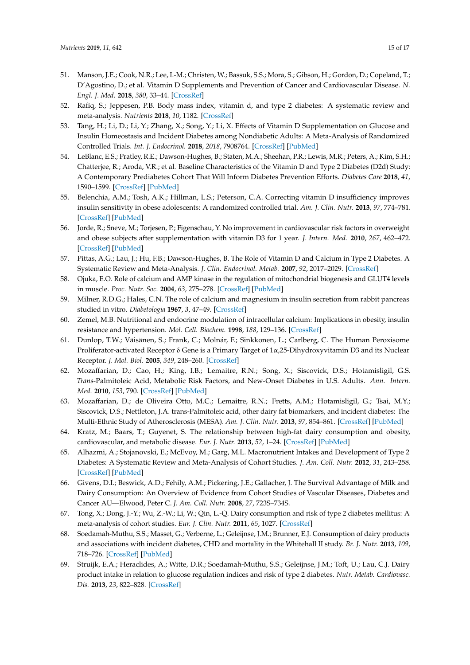- <span id="page-14-5"></span><span id="page-14-4"></span><span id="page-14-3"></span><span id="page-14-0"></span>51. Manson, J.E.; Cook, N.R.; Lee, I.-M.; Christen, W.; Bassuk, S.S.; Mora, S.; Gibson, H.; Gordon, D.; Copeland, T.; D'Agostino, D.; et al. Vitamin D Supplements and Prevention of Cancer and Cardiovascular Disease. *N. Engl. J. Med.* **2018**, *380*, 33–44. [\[CrossRef\]](http://dx.doi.org/10.1056/NEJMoa1809944)
- <span id="page-14-1"></span>52. Rafiq, S.; Jeppesen, P.B. Body mass index, vitamin d, and type 2 diabetes: A systematic review and meta-analysis. *Nutrients* **2018**, *10*, 1182. [\[CrossRef\]](http://dx.doi.org/10.3390/nu10091182)
- <span id="page-14-2"></span>53. Tang, H.; Li, D.; Li, Y.; Zhang, X.; Song, Y.; Li, X. Effects of Vitamin D Supplementation on Glucose and Insulin Homeostasis and Incident Diabetes among Nondiabetic Adults: A Meta-Analysis of Randomized Controlled Trials. *Int. J. Endocrinol.* **2018**, *2018*, 7908764. [\[CrossRef\]](http://dx.doi.org/10.1155/2018/7908764) [\[PubMed\]](http://www.ncbi.nlm.nih.gov/pubmed/30627160)
- <span id="page-14-6"></span>54. LeBlanc, E.S.; Pratley, R.E.; Dawson-Hughes, B.; Staten, M.A.; Sheehan, P.R.; Lewis, M.R.; Peters, A.; Kim, S.H.; Chatterjee, R.; Aroda, V.R.; et al. Baseline Characteristics of the Vitamin D and Type 2 Diabetes (D2d) Study: A Contemporary Prediabetes Cohort That Will Inform Diabetes Prevention Efforts. *Diabetes Care* **2018**, *41*, 1590–1599. [\[CrossRef\]](http://dx.doi.org/10.2337/dc18-0240) [\[PubMed\]](http://www.ncbi.nlm.nih.gov/pubmed/29941495)
- 55. Belenchia, A.M.; Tosh, A.K.; Hillman, L.S.; Peterson, C.A. Correcting vitamin D insufficiency improves insulin sensitivity in obese adolescents: A randomized controlled trial. *Am. J. Clin. Nutr.* **2013**, *97*, 774–781. [\[CrossRef\]](http://dx.doi.org/10.3945/ajcn.112.050013) [\[PubMed\]](http://www.ncbi.nlm.nih.gov/pubmed/23407306)
- 56. Jorde, R.; Sneve, M.; Torjesen, P.; Figenschau, Y. No improvement in cardiovascular risk factors in overweight and obese subjects after supplementation with vitamin D3 for 1 year. *J. Intern. Med.* **2010**, *267*, 462–472. [\[CrossRef\]](http://dx.doi.org/10.1111/j.1365-2796.2009.02181.x) [\[PubMed\]](http://www.ncbi.nlm.nih.gov/pubmed/20141565)
- <span id="page-14-7"></span>57. Pittas, A.G.; Lau, J.; Hu, F.B.; Dawson-Hughes, B. The Role of Vitamin D and Calcium in Type 2 Diabetes. A Systematic Review and Meta-Analysis. *J. Clin. Endocrinol. Metab.* **2007**, *92*, 2017–2029. [\[CrossRef\]](http://dx.doi.org/10.1210/jc.2007-0298)
- <span id="page-14-8"></span>58. Ojuka, E.O. Role of calcium and AMP kinase in the regulation of mitochondrial biogenesis and GLUT4 levels in muscle. *Proc. Nutr. Soc.* **2004**, *63*, 275–278. [\[CrossRef\]](http://dx.doi.org/10.1079/PNS2004339) [\[PubMed\]](http://www.ncbi.nlm.nih.gov/pubmed/15294043)
- <span id="page-14-9"></span>59. Milner, R.D.G.; Hales, C.N. The role of calcium and magnesium in insulin secretion from rabbit pancreas studied in vitro. *Diabetologia* **1967**, *3*, 47–49. [\[CrossRef\]](http://dx.doi.org/10.1007/BF01269910)
- <span id="page-14-10"></span>60. Zemel, M.B. Nutritional and endocrine modulation of intracellular calcium: Implications in obesity, insulin resistance and hypertension. *Mol. Cell. Biochem.* **1998**, *188*, 129–136. [\[CrossRef\]](http://dx.doi.org/10.1023/A:1006880708475)
- <span id="page-14-11"></span>61. Dunlop, T.W.; Väisänen, S.; Frank, C.; Molnár, F.; Sinkkonen, L.; Carlberg, C. The Human Peroxisome Proliferator-activated Receptor δ Gene is a Primary Target of 1α,25-Dihydroxyvitamin D3 and its Nuclear Receptor. *J. Mol. Biol.* **2005**, *349*, 248–260. [\[CrossRef\]](http://dx.doi.org/10.1016/j.jmb.2005.03.060)
- <span id="page-14-12"></span>62. Mozaffarian, D.; Cao, H.; King, I.B.; Lemaitre, R.N.; Song, X.; Siscovick, D.S.; Hotamisligil, G.S. *Trans*-Palmitoleic Acid, Metabolic Risk Factors, and New-Onset Diabetes in U.S. Adults. *Ann. Intern. Med.* **2010**, *153*, 790. [\[CrossRef\]](http://dx.doi.org/10.7326/0003-4819-153-12-201012210-00005) [\[PubMed\]](http://www.ncbi.nlm.nih.gov/pubmed/21173413)
- <span id="page-14-13"></span>63. Mozaffarian, D.; de Oliveira Otto, M.C.; Lemaitre, R.N.; Fretts, A.M.; Hotamisligil, G.; Tsai, M.Y.; Siscovick, D.S.; Nettleton, J.A. trans-Palmitoleic acid, other dairy fat biomarkers, and incident diabetes: The Multi-Ethnic Study of Atherosclerosis (MESA). *Am. J. Clin. Nutr.* **2013**, *97*, 854–861. [\[CrossRef\]](http://dx.doi.org/10.3945/ajcn.112.045468) [\[PubMed\]](http://www.ncbi.nlm.nih.gov/pubmed/23407305)
- <span id="page-14-14"></span>64. Kratz, M.; Baars, T.; Guyenet, S. The relationship between high-fat dairy consumption and obesity, cardiovascular, and metabolic disease. *Eur. J. Nutr.* **2013**, *52*, 1–24. [\[CrossRef\]](http://dx.doi.org/10.1007/s00394-012-0418-1) [\[PubMed\]](http://www.ncbi.nlm.nih.gov/pubmed/22810464)
- <span id="page-14-15"></span>65. Alhazmi, A.; Stojanovski, E.; McEvoy, M.; Garg, M.L. Macronutrient Intakes and Development of Type 2 Diabetes: A Systematic Review and Meta-Analysis of Cohort Studies. *J. Am. Coll. Nutr.* **2012**, *31*, 243–258. [\[CrossRef\]](http://dx.doi.org/10.1080/07315724.2012.10720425) [\[PubMed\]](http://www.ncbi.nlm.nih.gov/pubmed/23378452)
- <span id="page-14-16"></span>66. Givens, D.I.; Beswick, A.D.; Fehily, A.M.; Pickering, J.E.; Gallacher, J. The Survival Advantage of Milk and Dairy Consumption: An Overview of Evidence from Cohort Studies of Vascular Diseases, Diabetes and Cancer AU—Elwood, Peter C. *J. Am. Coll. Nutr.* **2008**, *27*, 723S–734S.
- <span id="page-14-19"></span>67. Tong, X.; Dong, J.-Y.; Wu, Z.-W.; Li, W.; Qin, L.-Q. Dairy consumption and risk of type 2 diabetes mellitus: A meta-analysis of cohort studies. *Eur. J. Clin. Nutr.* **2011**, *65*, 1027. [\[CrossRef\]](http://dx.doi.org/10.1038/ejcn.2011.62)
- <span id="page-14-17"></span>68. Soedamah-Muthu, S.S.; Masset, G.; Verberne, L.; Geleijnse, J.M.; Brunner, E.J. Consumption of dairy products and associations with incident diabetes, CHD and mortality in the Whitehall II study. *Br. J. Nutr.* **2013**, *109*, 718–726. [\[CrossRef\]](http://dx.doi.org/10.1017/S0007114512001845) [\[PubMed\]](http://www.ncbi.nlm.nih.gov/pubmed/22676797)
- <span id="page-14-18"></span>69. Struijk, E.A.; Heraclides, A.; Witte, D.R.; Soedamah-Muthu, S.S.; Geleijnse, J.M.; Toft, U.; Lau, C.J. Dairy product intake in relation to glucose regulation indices and risk of type 2 diabetes. *Nutr. Metab. Cardiovasc. Dis.* **2013**, *23*, 822–828. [\[CrossRef\]](http://dx.doi.org/10.1016/j.numecd.2012.05.011)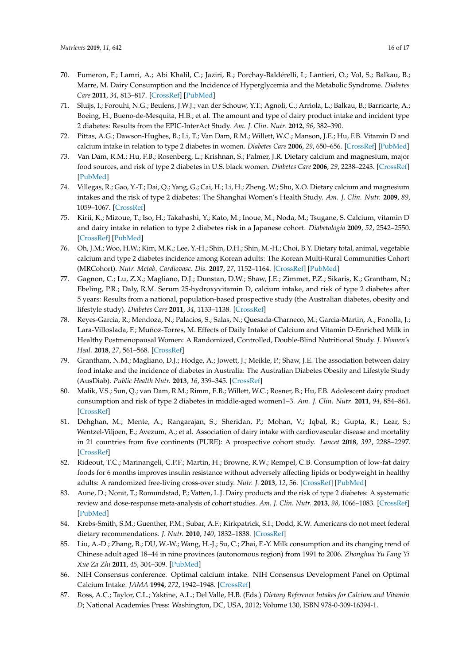- <span id="page-15-9"></span>70. Fumeron, F.; Lamri, A.; Abi Khalil, C.; Jaziri, R.; Porchay-Baldérelli, I.; Lantieri, O.; Vol, S.; Balkau, B.; Marre, M. Dairy Consumption and the Incidence of Hyperglycemia and the Metabolic Syndrome. *Diabetes Care* **2011**, *34*, 813–817. [\[CrossRef\]](http://dx.doi.org/10.2337/dc10-1772) [\[PubMed\]](http://www.ncbi.nlm.nih.gov/pubmed/21447660)
- <span id="page-15-0"></span>71. Sluijs, I.; Forouhi, N.G.; Beulens, J.W.J.; van der Schouw, Y.T.; Agnoli, C.; Arriola, L.; Balkau, B.; Barricarte, A.; Boeing, H.; Bueno-de-Mesquita, H.B.; et al. The amount and type of dairy product intake and incident type 2 diabetes: Results from the EPIC-InterAct Study. *Am. J. Clin. Nutr.* **2012**, *96*, 382–390.
- <span id="page-15-1"></span>72. Pittas, A.G.; Dawson-Hughes, B.; Li, T.; Van Dam, R.M.; Willett, W.C.; Manson, J.E.; Hu, F.B. Vitamin D and calcium intake in relation to type 2 diabetes in women. *Diabetes Care* **2006**, *29*, 650–656. [\[CrossRef\]](http://dx.doi.org/10.2337/diacare.29.03.06.dc05-1961) [\[PubMed\]](http://www.ncbi.nlm.nih.gov/pubmed/16505521)
- <span id="page-15-2"></span>73. Van Dam, R.M.; Hu, F.B.; Rosenberg, L.; Krishnan, S.; Palmer, J.R. Dietary calcium and magnesium, major food sources, and risk of type 2 diabetes in U.S. black women. *Diabetes Care* **2006**, *29*, 2238–2243. [\[CrossRef\]](http://dx.doi.org/10.2337/dc06-1014) [\[PubMed\]](http://www.ncbi.nlm.nih.gov/pubmed/17003299)
- <span id="page-15-3"></span>74. Villegas, R.; Gao, Y.-T.; Dai, Q.; Yang, G.; Cai, H.; Li, H.; Zheng, W.; Shu, X.O. Dietary calcium and magnesium intakes and the risk of type 2 diabetes: The Shanghai Women's Health Study. *Am. J. Clin. Nutr.* **2009**, *89*, 1059–1067. [\[CrossRef\]](http://dx.doi.org/10.3945/ajcn.2008.27182)
- <span id="page-15-4"></span>75. Kirii, K.; Mizoue, T.; Iso, H.; Takahashi, Y.; Kato, M.; Inoue, M.; Noda, M.; Tsugane, S. Calcium, vitamin D and dairy intake in relation to type 2 diabetes risk in a Japanese cohort. *Diabetologia* **2009**, *52*, 2542–2550. [\[CrossRef\]](http://dx.doi.org/10.1007/s00125-009-1554-x) [\[PubMed\]](http://www.ncbi.nlm.nih.gov/pubmed/19823801)
- <span id="page-15-5"></span>76. Oh, J.M.; Woo, H.W.; Kim, M.K.; Lee, Y.-H.; Shin, D.H.; Shin, M.-H.; Choi, B.Y. Dietary total, animal, vegetable calcium and type 2 diabetes incidence among Korean adults: The Korean Multi-Rural Communities Cohort (MRCohort). *Nutr. Metab. Cardiovasc. Dis.* **2017**, *27*, 1152–1164. [\[CrossRef\]](http://dx.doi.org/10.1016/j.numecd.2017.10.005) [\[PubMed\]](http://www.ncbi.nlm.nih.gov/pubmed/29167059)
- <span id="page-15-6"></span>77. Gagnon, C.; Lu, Z.X.; Magliano, D.J.; Dunstan, D.W.; Shaw, J.E.; Zimmet, P.Z.; Sikaris, K.; Grantham, N.; Ebeling, P.R.; Daly, R.M. Serum 25-hydroxyvitamin D, calcium intake, and risk of type 2 diabetes after 5 years: Results from a national, population-based prospective study (the Australian diabetes, obesity and lifestyle study). *Diabetes Care* **2011**, *34*, 1133–1138. [\[CrossRef\]](http://dx.doi.org/10.2337/dc10-2167)
- <span id="page-15-7"></span>78. Reyes-Garcia, R.; Mendoza, N.; Palacios, S.; Salas, N.; Quesada-Charneco, M.; Garcia-Martin, A.; Fonolla, J.; Lara-Villoslada, F.; Muñoz-Torres, M. Effects of Daily Intake of Calcium and Vitamin D-Enriched Milk in Healthy Postmenopausal Women: A Randomized, Controlled, Double-Blind Nutritional Study. *J. Women's Heal.* **2018**, *27*, 561–568. [\[CrossRef\]](http://dx.doi.org/10.1089/jwh.2017.6655)
- <span id="page-15-8"></span>79. Grantham, N.M.; Magliano, D.J.; Hodge, A.; Jowett, J.; Meikle, P.; Shaw, J.E. The association between dairy food intake and the incidence of diabetes in Australia: The Australian Diabetes Obesity and Lifestyle Study (AusDiab). *Public Health Nutr.* **2013**, *16*, 339–345. [\[CrossRef\]](http://dx.doi.org/10.1017/S1368980012001310)
- <span id="page-15-10"></span>80. Malik, V.S.; Sun, Q.; van Dam, R.M.; Rimm, E.B.; Willett, W.C.; Rosner, B.; Hu, F.B. Adolescent dairy product consumption and risk of type 2 diabetes in middle-aged women1–3. *Am. J. Clin. Nutr.* **2011**, *94*, 854–861. [\[CrossRef\]](http://dx.doi.org/10.3945/ajcn.110.009621)
- <span id="page-15-11"></span>81. Dehghan, M.; Mente, A.; Rangarajan, S.; Sheridan, P.; Mohan, V.; Iqbal, R.; Gupta, R.; Lear, S.; Wentzel-Viljoen, E.; Avezum, A.; et al. Association of dairy intake with cardiovascular disease and mortality in 21 countries from five continents (PURE): A prospective cohort study. *Lancet* **2018**, *392*, 2288–2297. [\[CrossRef\]](http://dx.doi.org/10.1016/S0140-6736(18)31812-9)
- <span id="page-15-12"></span>82. Rideout, T.C.; Marinangeli, C.P.F.; Martin, H.; Browne, R.W.; Rempel, C.B. Consumption of low-fat dairy foods for 6 months improves insulin resistance without adversely affecting lipids or bodyweight in healthy adults: A randomized free-living cross-over study. *Nutr. J.* **2013**, *12*, 56. [\[CrossRef\]](http://dx.doi.org/10.1186/1475-2891-12-56) [\[PubMed\]](http://www.ncbi.nlm.nih.gov/pubmed/23638799)
- <span id="page-15-13"></span>83. Aune, D.; Norat, T.; Romundstad, P.; Vatten, L.J. Dairy products and the risk of type 2 diabetes: A systematic review and dose-response meta-analysis of cohort studies. *Am. J. Clin. Nutr.* **2013**, *98*, 1066–1083. [\[CrossRef\]](http://dx.doi.org/10.3945/ajcn.113.059030) [\[PubMed\]](http://www.ncbi.nlm.nih.gov/pubmed/23945722)
- <span id="page-15-14"></span>84. Krebs-Smith, S.M.; Guenther, P.M.; Subar, A.F.; Kirkpatrick, S.I.; Dodd, K.W. Americans do not meet federal dietary recommendations. *J. Nutr.* **2010**, *140*, 1832–1838. [\[CrossRef\]](http://dx.doi.org/10.3945/jn.110.124826)
- <span id="page-15-15"></span>85. Liu, A.-D.; Zhang, B.; DU, W.-W.; Wang, H.-J.; Su, C.; Zhai, F.-Y. Milk consumption and its changing trend of Chinese adult aged 18–44 in nine provinces (autonomous region) from 1991 to 2006. *Zhonghua Yu Fang Yi Xue Za Zhi* **2011**, *45*, 304–309. [\[PubMed\]](http://www.ncbi.nlm.nih.gov/pubmed/21624323)
- <span id="page-15-16"></span>86. NIH Consensus conference. Optimal calcium intake. NIH Consensus Development Panel on Optimal Calcium Intake. *JAMA* **1994**, *272*, 1942–1948. [\[CrossRef\]](http://dx.doi.org/10.1001/jama.272.24.1942)
- <span id="page-15-17"></span>87. Ross, A.C.; Taylor, C.L.; Yaktine, A.L.; Del Valle, H.B. (Eds.) *Dietary Reference Intakes for Calcium and Vitamin D*; National Academies Press: Washington, DC, USA, 2012; Volume 130, ISBN 978-0-309-16394-1.